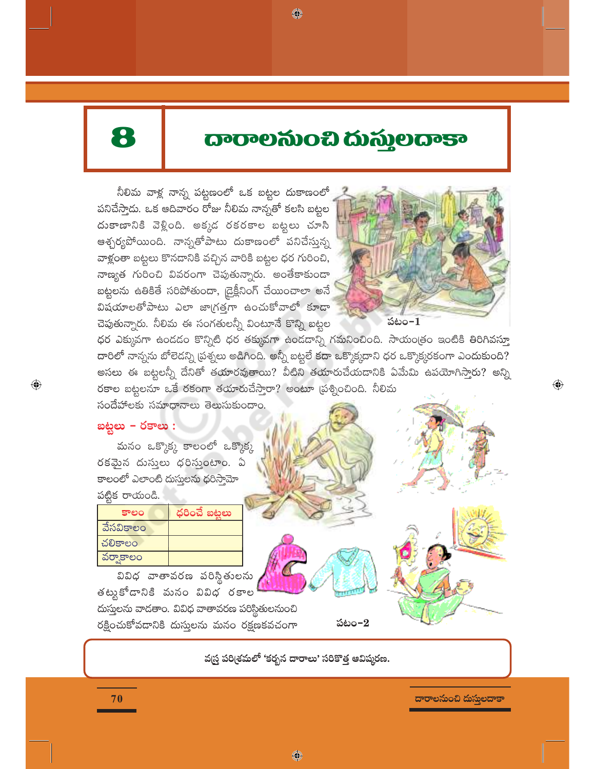# 8

# **ದಾರಾಲನುಂಬಿ ದುಸ್ತುಲದಾಕಾ**

◈

నీలిమ వాళ్ల నాన్న పట్టణంలో ఒక బట్టల దుకాణంలో పనిచేస్తాడు. ఒక ఆదివారం రోజు నీలిమ నాన్నతో కలసి బట్టల దుకాణానికి వెళ్లింది. అక్కడ రకరకాల బట్టలు చూసి ఆశ్చర్యపోయింది. నాన్నతోపాటు దుకాణంలో పనిచేస్తున్న వాళ్లంతా బట్టలు కొనడానికి వచ్చిన వారికి బట్టల ధర గురించి, నాణ్యత గురించి వివరంగా చెపుతున్నారు. అంతేకాకుండా బట్టలను ఉతికితే సరిపోతుందా, డ్రైక్లీనింగ్ చేయించాలా అనే విషయాలతోపాటు ఎలా జాగ్రత్తగా ఉంచుకోవాలో కూడా చెపుతున్నారు. నీలిమ ఈ సంగతులన్నీ వింటూనే కొన్ని బట్టల



 $\bigoplus$ 

ధర ఎక్కువగా ఉండడం కొన్నిటి ధర తక్కువగా ఉండడాన్ని గమనించింది. సాయంత్రం ఇంటికి తిరిగివస్తూ దారిలో నాన్నను బోలెడన్ని ప్రశ్నలు అడిగింది. అన్నీ బట్టలే కదా ఒక్కొక్కదాని ధర ఒక్కొక్కరకంగా ఎందుకుంది? అసలు ఈ బట్టలన్నీ దేనితో తయారవుతాయి? వీటిని తయారుచేయదానికి ఏమేమి ఉపయోగిస్తారు? అన్ని రకాల బట్టలనూ ఒకే రకంగా తయారుచేసారా? అంటూ (పశ్నించింది. నీలిమ

సందేహాలకు సమాధానాలు తెలుసుకుందాం.

### బట్టలు - రకాలు :

 $\bigoplus$ 

మనం ఒక్కొక్క కాలంలో ఒక్కొక్క రకమైన దుస్తులు ధరిస్తుంటాం. ఏ కాలంలో ఎలాంటి దుస్తులను ధరిస్తామో పట్టిక రాయండి.

| కాలం      | ధరించే బట్టలు |
|-----------|---------------|
| వేసవికాలం |               |
| చలికాలం   |               |
| వర్వాకాలం |               |
|           |               |

————<br>వివిధ వాతావరణ పరిస్థితులను తట్టుకోడానికి మనం వివిధ రకాల దుస్తులను వాడతాం. వివిధ వాతావరణ పరిస్థితులనుంచి రక్షించుకోవడానికి దుస్తులను మనం రక్షణకవచంగా

పటం– $2$ 

వ(స్త పరి(శమలో 'కరృన దారాలు' సరికొత్త ఆవిష్కరణ.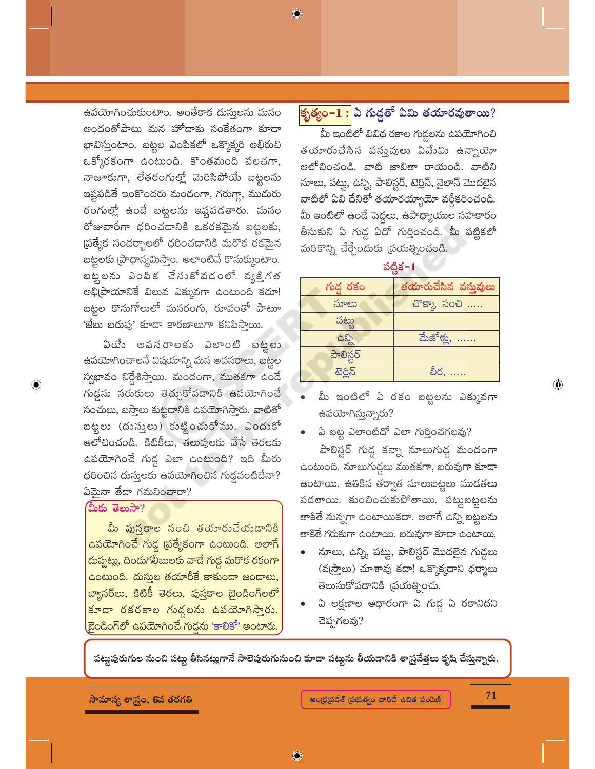ఉపయోగించుకుంటాం. అంతేకాక దుసులను మనం అందంతోపాటు మన హోదాకు సంకేతంగా కూడా భావిస్తుంటాం. బట్టల ఎంపికలో ఒక్కొక్కరి అభిరుచి ఒక్కోరకంగా ఉంటుంది. కొంతమంది పలచగా, నాజూకుగా, లేతరంగుల్లో మెరిసిపోయే బట్టలను ఇష్టపడితే ఇంకొందరు మందంగా, గరుగ్గా, ముదురు రంగుల్లో ఉండే బట్టలను ఇష్టపడతారు. మనం రోజువారీగా ధరించడానికి ఒకరకమైన బట్టలకు, ప్రత్యేక సందర్భాలలో ధరించడానికి మరొక రకమైన బట్టలకు (ఫాధాన్యమిస్తాం. అలాంటివే కొనుక్కుంటాం. బట్టలను ఎంపిక చేసుకోవడంలో వృక్తిగత అభి[పాయానికే విలువ ఎక్కువగా ఉంటుంది కదూ! బట్టల కొనుగోలులో మనరంగు, రూపంతో పాటూ 'జేబు బరువు' కూడా కారణాలుగా కనిపిస్తాయి.

ఏయేం అవనరాలకు ఎలాంటి బట్టలు <mark>ఉపయోగిం</mark>చాలనే విషయాన్ని మన అవసరాలు, బట్టల స్వభావం నిర్దేశిస్తాయి. మందంగా, ముతకగా ఉండే గుడ్డను సరుకులు తెచ్చుకోవడానికి ఉపయోగించే సంచులు, బస్తాలు కుట్టడానికి ఉపయోగిస్తారు. వాటితో బట్టలు (దుస్తులు) కుట్టించుకోము. ఎందుకో ఆలోచించండి. కిటికీలు, తలుపులకు వేసే తెరలకు ఉపయోగించే గుడ్డ ఎలా ఉంటుంది? ఇది మీరు ధరించిన దుస్తులకు ఉపయోగించిన గుడ్డవంటిదేనా? ఏమైనా తేడా గమనించారా?

#### మీకు తెలుసా?

 $\bigoplus$ 

మీ పుస్తకాల సంచి తయారుచేయడానికి <mark>ఉపయోగించే గు</mark>డ్డ ప్రత్యేకంగా ఉంటుంది. అలాగే దుప్పట్లు, దిందుగలీబులకు వాదే గుడ్డ మరొక రకంగా ఉంటుంది. దుసుల తయారీకే కాకుండా జండాలు, బ్యానర్అు, కిటికీ తెరలు, పుస్తకాల బైండింగ్లలో కూడా రకరకాల గుడ్డలను ఉపయోగిస్తారు. ,బైండింగ్**లో ఉపయోగించే గుడ్డను 'కాలికో' అంటారు.** 

## <mark>కృత్యం– $\overline{\mathbf{1}}$ :</mark> ఏ గుద్దతో ఏమి తయారవుతాయి?

◈

.<br>మీ ఇంటిలో వివిధ రకాల గుడ్దలను ఉపయోగించి తయారుచేసిన వస్తువులు ఏవేుమి ఉన్నాయో ఆలోచించండి. వాటి జాబితా రాయండి. వాటిని నూలు, పట్టు, ఉన్ని, పాలిస్టర్, టెర్లిన్, నైలాన్ మొదలైన వాటిలో ఏవి దేనితో తయారయ్యాయో వర్గీకరించండి. మీ ఇంటిలో ఉండే పెద్దలు, ఉపాధ్యాయుల సహకారం తీసుకుని ఏ గుడ్డ ఏదో గుర్తించండి. మీ పట్టికలో మరికొన్ని చేర్చేందుకు (పయత్నించండి.

పట్టిక−1

| గుడ్డ రకం                      | తయారుచేసిన వస్తువులు |
|--------------------------------|----------------------|
| నూలు                           | చొక్కా, సంచి         |
| పట్టు                          |                      |
| $\langle \hat{\omega} \rangle$ | మేజోళ్లు,            |
| పాలిస్టర్                      |                      |
| టెర్లిన్                       | చీర.                 |

- మీ ఇంటిలో ఏ రకం బట్టలను ఎక్కువగా ఉపయోగిస్తున్నారు?
- ఏ బట్ట ఎలాంటిదో ఎలా గుర్తించగలవు?

పాలిస్టర్ గుడ్డ కన్నా నూలుగుడ్డ మందంగా ఉంటుంది. నూలుగుద్దలు ముతకగా, బరువుగా కూడా ఉంటాయి. ఉతికిన తర్వాత నూలుబట్టలు ముదతలు పడతాయి. కుంచించుకుపోతాయి. పట్టుబట్టలను తాకితే నున్నగా ఉంటాయికదా. అలాగే ఉన్ని బట్టలను తాకితే గరుకుగా ఉంటాయి. బరువుగా కూడా ఉంటాయి.

- నూలు, ఉన్ని, పట్టు, పాలిస్టర్ మొదలైన గుడ్డలు (వ్రస్తాలు) చూశావు కదా! ఒక్కొక్కదాని ధర్మాలు తెలుసుకోవదానికి (పయత్నించు.
- ఏ లక్షణాల ఆధారంగా ఏ గుడ్డ ఏ రకానిదని చెప్పగలవు?

పట్టపురుగుల నుంచి పట్టు తీసినట్లుగానే సాలెపురుగునుంచి కూడా పట్టును తీయడానికి శా[స్రవేత్తలు కృషి చేస్తున్నారు.

 $\textcolor{black}{\textcircled{\small\textrm{-}}}$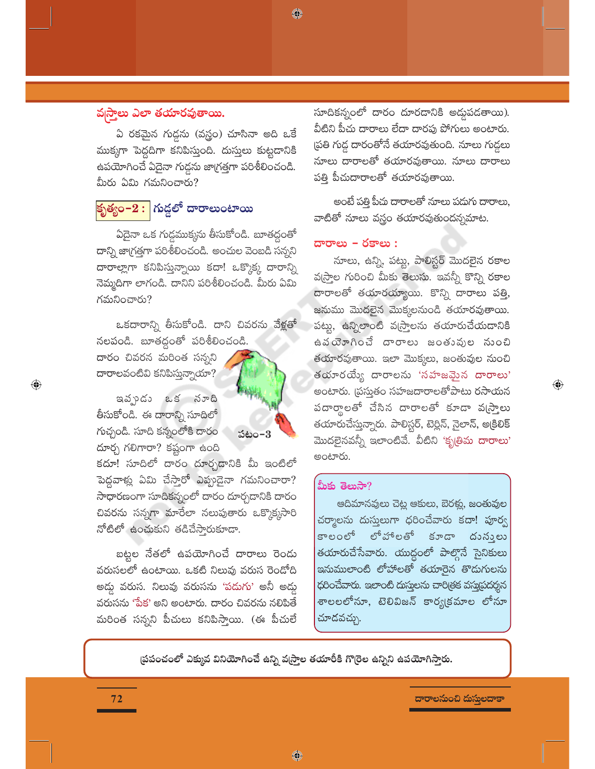#### వ్నస్తాలు ఎలా తయారవుతాయి.

ఏ రకమైన గుద్దను (వస్త్రం) చూసినా అది ఒకే ముక్కగా పెద్దదిగా కనిపిస్తుంది. దుస్తులు కుట్టడానికి ఉపయోగించే ఏదైనా గుడ్డను జాగ్రత్తగా పరిశీలించండి. మీరు ఏమి గమనించారు?

## <mark>కృత్యం– $2:$ </mark> గుడ్డలో దారాలుంటాయి

ఏదైనా ఒక గుడ్డముక్కను తీసుకోండి. బూతద్గంతో దాన్ని జాగ్రత్తగా పరిశీలించండి. అంచుల వెంబడి సన్నని దారాల్లాగా కనిపిస్తున్నాయి కదా! ఒక్కొక్క దారాన్ని నెమ్మదిగా లాగండి. దానిని పరిశీలించండి. మీరు ఏమి గమనించారు?

ఒకదారాన్ని తీసుకోండి. దాని చివరను వేళ్లతో నలపండి. బూతద్దంతో పరిశీలించండి.

<mark>దారం చివరన మరింత సన్నన</mark>ి దారాలవంటివి కనిపిస్తున్నాయా?

 $\textcolor{black}{\textcolor{black}{\bigcirc}}$ 

ఇవ్ప్రదం ఒక నూది తీసుకోండి. ఈ దారాన్ని సూదిలో గుచ్చండి. సూది కన్నంలోకి దారం దూర్చ గలిగారా? కష్టంగా ఉంది



కదూ! సూదిలో దారం దూర్చడానికి మీ ఇంటిలో పెద్దవాళ్లు ఏమి చేస్తారో ఎప్పుడైనా గమనించారా? సాధారణంగా సూదికన్నంలో దారం దూర్చడానికి దారం చివరను సన్నగా మారేలా నలుపుతారు ఒక్కొక్కసారి నోటిలో ఉంచుకుని తడిచేస్తారుకూడా.

బట్టల నేతలో ఉపయోగించే దారాలు రెండు వరుసలలో ఉంటాయి. ఒకటి నిలువు వరుస రెండోది అడ్డు వరుస. నిలువు వరుసను 'పడుగు' అనీ అడ్డు వరుసను 'పేక' అని అంటారు. దారం చివరను నలిపితే మరింత సన్నని పీచులు కనిపిస్తాయి. (ఈ పీచులే సూదికన్నంలో దారం దూరదానికి అద్దుపడతాయి). వీటిని పీచు దారాలు లేదా దారపు పోగులు అంటారు. ప్రతి గుడ్డ దారంతోనే తయారవుతుంది. నూలు గుడ్డలు నూలు దారాలతో తయారవుతాయి. నూలు దారాలు పత్తి పీచుదారాలతో తయారవుతాయి.

అంటే పత్తి పీచు దారాలతో నూలు పదుగు దారాలు, వాటితో నూలు వస్త్రం తయారవుతుందన్నమాట.

#### దారాలు – రకాలు :

◈

నూలు, ఉన్ని, పట్టు, పాలిస్టర్ మొదలైన రకాల వ(స్త్రాల గురించి మీకు తెలుసు. ఇవన్నీ కొన్ని రకాల దారాలతో తయారయ్యాయి. కొన్ని దారాలు పత్తి, జనుము మొదలైన మొక్కలనుండి తయారవుతాయి. పట్టు, ఉన్నిలాంటి వ్రస్త్రాలను తయారుచేయడానికి ఉవయోగించే దారాలు జంతువుల సుంచి తయారవుతాయి. ఇలా మొక్కలు, జంతువుల నుంచి తయారయ్యే దారాలను 'సహజమైన దారాలు' .<br>అంటారు. (పసుతం సహజదారాలతోపాటు రసాయన పదార్శాలతో చేసిన దారాలతో కూడా వ్రస్తాలు తయారుచేస్తున్నారు. పాలిస్టర్, టెర్లిన్, నైలాన్, అక్రిలిక్ మొదలైనవన్నీ ఇలాంటివే. వీటిని 'కృత<mark>్</mark>రిమ <mark>దారాల</mark>ు' అంటారు.

 $\textcolor{black}{\textcircled{\small\textrm{-}}}$ 

#### మీకు తెలుసా?

ఆదిమానవులు చెట్ల ఆకులు, బెరట్ల, జంతువుల చర్మాలను దుస్తులుగా ధరించేవారు కదా! పూర్వ కాలంలో లోహాలతో కూడా దునులు తయారుచేసేవారు. యుద్ధంలో పాల్గొనే సైనికులు ఇనుములాంటి లోహాలతో తయారైన తొడుగులను ధరించేవారు. ఇలాంటి దుస్తులను చారిత్రక వస్తుపదర్శన శాలలలోనూ, టెలివిజన్ కార్యక్రమాల లోనూ చూదవచ్చు.

(పపంచంలో ఎక్కువ వినియోగించే ఉన్ని వ(స్తాల తయారీకి గొ(రెల ఉన్నిని ఉపయోగిస్తారు.

♦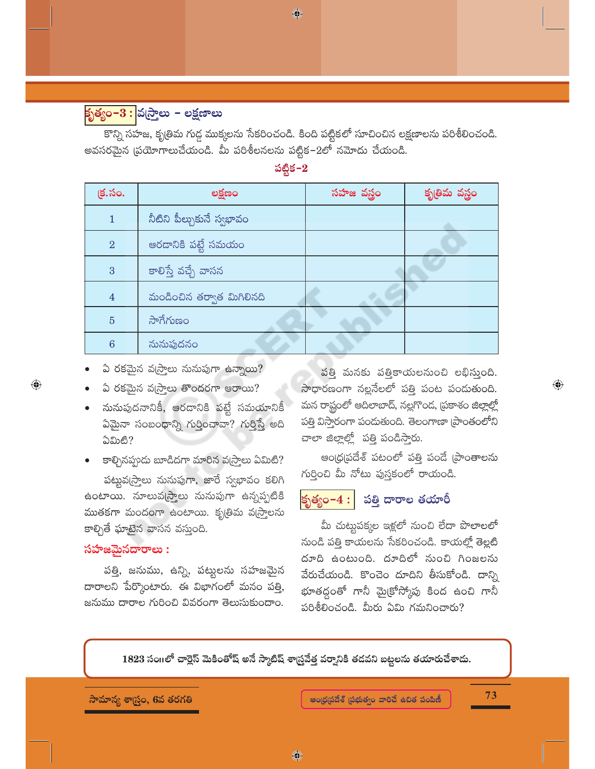### <mark>కృత్యం–3 : </mark>వస్రాలు – లక్షణాలు

కొన్ని సహజ, కృత్రిమ గుడ్డ ముక్కలను సేకరించండి. కింది పట్టికలో సూచించిన లక్షణాలను పరిశీలించండి. అవసరమైన (పయోగాలుచేయండి. మీ పరిశీలనలను పట్టిక–2లో నమోదు చేయండి.

◈

#### పట్టిక $-2$

| క్ర.సం.         | లక్షణం                    | సహజ వస్త్రం | కృతిమ వస్త్రం |
|-----------------|---------------------------|-------------|---------------|
| $\mathbf{1}$    | నీటిని పీల్చుకునే స్వభావం |             |               |
| $\overline{2}$  | ఆరడానికి పట్టే సమయం       |             |               |
| 3               | కాలిస్తే వచ్చే వాసన       |             |               |
| $\overline{4}$  | మండించిన తర్వాత మిగిలినది |             |               |
| $\overline{5}$  | సాగేగుణం                  |             |               |
| $6\phantom{1}6$ | నునుపుదనం                 |             |               |

ఏ రకమైన వ(స్త్రాలు నునుపుగా ఉన్నాయి?

- ఏ రకమైన వ(స్త్రాలు తొందరగా ఆరాయి?
- నునుపుదనానికీ, ఆరడానికి పట్టే సమయానికీ ఏమైనా సంబంధాన్ని గుర్తించావా? గుర్తిస్తే అది  $\mathfrak{D} \mathfrak{W}$ හී?
- కాళ్చినప్పుడు బూడిదగా మారిన వ(స్తాలు ఏమిటి?

పట్టువఁ్రస్తాలు నునుపుగా, జారే స్వభావం కలిగి ఉంటాయి. నూలువట్రాలు నునుపుగా ఉన్నప్పటికి ముతకగా మందంగా ఉంటాయి. కృతిమ వద్రాలను కాల్చితే ఘాటైన వాసన వస్తుంది.

#### సహజమైనదారాలు :

 $\bigoplus$ 

పత్తి, జనుము, ఉన్ని, పట్టులను సహజమైన దారాలని పేర్కొంటారు. ఈ విభాగంలో మనం పత్తి, జనుము దారాల గురించి వివరంగా తెలుసుకుందాం.

పత్తి మనకు పత్తికాయలనుంచి లభిస్తుంది. సాధారణంగా నల్లనేలలో పత్తి పంట పండుతుంది. మన రాష్టంలో ఆదిలాబాద్, నల్లగొంద, ప్రకాశం జిల్లాల్లో పత్తి విస్తారంగా పందుతుంది. తెలంగాణా (పాంతంలోని చాలా జిల్లాల్లో పత్తి పండిస్తారు.

ఆంధ్రప్రదేశ్ పటంలో పత్తి పండే (పాంతాలను గుర్తించి మీ నోటు పుస్తకంలో రాయండి.

#### పత్తి దారాల తయారీ కృత్యం– $4:$

మీ చుట్టుపక్కల ఇళ్లలో నుంచి లేదా పొలాలలో నుండి పత్తి కాయలను సేకరించండి. కాయల్లో తెల్లటి దూది ఉంటుంది. దూదిలో నుంచి గింజలను వేరుచేయండి. కొంచెం దూదిని తీసుకోండి. దాన్ని భూతద్దంతో గానీ మైక్రోస్కోపు కింద ఉంచి గానీ పరిశీలించండి. మీరు ఏమి గమనించారు?

1823 సంగలో చార్లెస్ మెకింతోష్ అనే స్కాటిష్ శాస్ర్రవేత్త వర్వానికి తడవని బట్టలను తయారుచేశాడు.

సామాన్య శాస్త్రం, 6వ తరగతి

73

 $\bigoplus$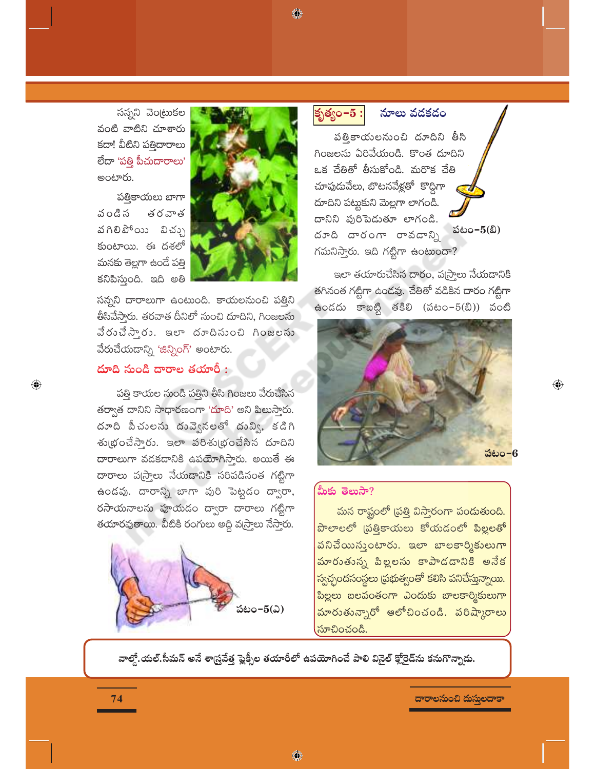◈

సన్నని వెంట్రుకల వంటి వాటిని చూశారు కదా! వీటిని పత్తిదారాలు లేదా 'పత్తి పీచుదారాలు' అంటారు.

పతికాయలు బాగా వండిన తరవాత వగిలిపోయి విచ్చు కుంటాయి. ఈ దశలో మనకు తెల్లగా ఉందే పత్తి కనిపిస్తుంది. ఇది అతి



సన్నని దారాలుగా ఉంటుంది. కాయలనుంచి పత్తిని తీసివేసారు. తరవాత దీనిలో నుంచి దూదిని, గింజలను వేరుచేస్తారు. ఇలా దూదినుంచి గింజలను వేరుచేయదాన్ని 'జిన్నింగ్' అంటారు.

#### దూది నుండి దారాల తయారీ :

 $\bigoplus$ 

పత్తి కాయల నుండి పత్తిని తీసి గింజలు వేరుచేసిన తర్వాత దానిని సాధారణంగా 'దూది' అని పిలుస్తారు. దూది పీచులను దువ్వెనలతో దువ్వి, కడిగి శుభ్రంచేస్తారు. ఇలా పరిశుభ్రంచేసిన దూదిని దారాలుగా వడకడానికి ఉపయోగిస్తారు. అయితే ఈ దారాలు వఁ్నాలు నేయడానికి సరిపడినంత గట్టిగా ఉండవు. దారాన్ని బాగా పురి పెట్టడం ద్వారా, రసాయనాలను పూయడం ద్వారా దారాలు గట్టిగా తయారవుతాయి. వీటికి రంగులు అద్ది వ(స్త్రాలు నేస్తారు.



కృత్యం $-5:$ 

నూలు వదకదం

పత్తికాయలనుంచి దూదిని తీసి గింజలను ఏరివేయండి. కొంత దూదిని ఒక చేతితో తీసుకోండి. మరొక చేతి చూపుడువేలు, బొటనవేళ్లతో కొద్దిగా దూదిని పట్టుకుని మెల్లగా లాగండి. దానిని పురిపెడుతూ లాగండి. పటం- $5(2)$ దూది దారంగా రావడాన్ని గమనిస్తారు. ఇది గట్టిగా ఉంటుందా?

ఇలా తయారుచేసిన దారం, వ్రస్తాలు నేయడానికి తగినంత గట్టిగా ఉండవు. చేతితో వడికిన దారం గట్టిగా ఉండదు కాబట్టి తకిలి (పటం $-5(2)$ ) వంటి



 $\textcolor{black}{\textcolor{black}{\bigoplus}}$ 

#### మీకు తెలుసా $?$

మన రాష్టంలో (పత్తి విస్తారంగా పండుతుంది. పొలాలలో (పత్తికాయలు కోయడంలో పిల్లలతో పనిచేయిస్తుంటారు. ఇలా బాలకార్మికులుగా మారుతున్న పిల్లలను కాపాడదానికి అనేక స్వచ్ఛందసంస్థలు ప్రభుత్వంతో కలిసి పనిచేస్తున్నాయి. పిల్లలు బలవంతంగా ఎందుకు బాలకార్మికులుగా మారుతున్నారో ఆలోచించండి. పరిష్కారాలు సూచించండి.

వాల్తో.యల్.సీమన్ అనే శాస్ర్రవేత్త ఫ్లైక్సీల తయారీలో ఉపయోగించే పాలి వినైల్ క్లోరైడ్సు కనుగొన్నాడు.

◈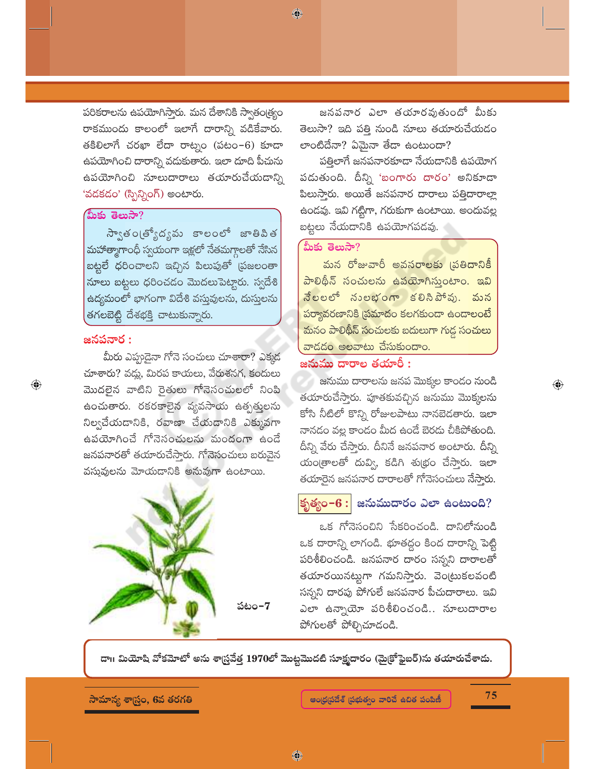పరికరాలను ఉపయోగిస్తారు. మన దేశానికి స్వాతం(త్యం రాకముందు కాలంలో ఇలాగే దారాన్ని వడికేవారు. తకిలిలాగే చరఖా లేదా రాట్నం (పటం-6) కూడా ఉపయోగించి దారాన్ని వదుకుతారు. ఇలా దూది పీచును ఉపయోగించి నూలుదారాలు తయారుచేయడాన్ని 'వడకడం' (స్పిన్నింగ్) అంటారు.

#### మీకు తెలుసా?

స్వాతంట్యోద్యమ కాలంలో జాతిపిత మహాత్మాగాంధీ స్వయంగా ఇళ్లలో నేతమగ్గాలతో నేసిన బట్టలే ధరించాలని ఇచ్చిన పిలుపుతో (పజలంతా నూలు బట్టలు ధరించడం మొదలుపెట్టారు. స్వదేశి ఉద్యమంలో భాగంగా విదేశి వస్తువులను, దుస్తులను తగలబెట్టి దేశభక్తి చాటుకున్నారు.

#### జనపనార :

 $\bigoplus$ 

మీరు ఎప్పుడైనా గోనె సంచులు చూశారా? ఎక్కడ చూశారు? వద్దు, మిరప కాయలు, వేరుశనగ, కందులు మొదలైన వాటిని రైతులు గోనెసంచులలో నింపి ఉంచుతారు. రకరకాలైన వ్యవసాయ ఉత్పత్తులను నిల్వచేయడానికి, రవాణా చేయడానికి ఎక్కువగా ఉపయోగించే గోనెసంచులను మందంగా ఉండే జనపనారతో తయారుచేస్తారు. గోనెసంచులు బరువైన వస్తువులను మోయడానికి అనువుగా ఉంటాయి.



పటం–7

జనపనార ఎలా తయారవుతుందో మీకు తెలుసా? ఇది పత్తి నుండి నూలు తయారుచేయడం లాంటిదేనా? ఏమైనా తేడా ఉంటుందా?

పత్తిలాగే జనపనారకూడా నేయడానికి ఉపయోగ పడుతుంది. దీన్ని 'బంగారు దారం' అనికూడా పిలుసారు. అయితే జనపనార దారాలు పత్తిదారాల్లా ఉండవు. ఇవి గట్టిగా, గరుకుగా ఉంటాయి. అందువల్ల బట్టలు నేయదానికి ఉపయోగపడవు.

#### మీకు తెలుసా?

◈

మన రోజువారీ అవసరాలకు <sub></sub>పతిదానికీ <u>పాలిథీన్ సంచులను ఉపయోగిస్తుంటాం. ఇవి</u> నేలలలో నులభంగా కలిసిపోవు. మన పర్యావరణానికి ప్రమాదం కలగకుండా ఉండాలంటే మనం పాలిథీన్ సంచులకు బదులుగా గుడ్డ సంచులు వాదదం అలవాటు చేసుకుందాం.

#### జనుము దారాల తయారీ :

జనుము దారాలను జనప మొక్కల కాండం నుండి తయారుచేస్తారు. పూతకువచ్చిన జనుము మొక్కలను కోసి నీటిలో కొన్ని రోజులపాటు నానబెదతారు. ఇలా నానడం వల్ల కాండం మీద ఉండే బెరడు చీకిపోతుంది. దీన్ని వేరు చేసా్రరు. దీనినే జనపనార అంటారు. దీన్ని యం[తాలతో దువ్వి, కడిగి శు(భం చేస్తారు. ఇలా తయారైన జనపనార దారాలతో గోనెసంచులు నేసా్టరు.

### |కృత్యం− $6:|$  జనుముదారం ఎలా ఉంటుంది?

ఒక గోనెసంచిని సేకరించండి. దానిలోనుండి ఒక దారాన్ని లాగండి. భూతద్దం కింద దారాన్ని పెట్టి పరిశీలించండి. జనపనార దారం సన్నని దారాలతో తయారయినట్నగా గమనిస్తారు. వెంట్రుకలవంటి సన్నని దారపు పోగులే జనపనార పీచుదారాలు. ఇవి ఎలా ఉన్నాయో పరిశీలించండి.. నూలుదారాల పోగులతో పోల్చిచూడండి.

డా॥ మియోషి వోకమోటో అను శాస్ర్రవేత్త 1970లో మొట్టమొదటి సూక్ష్మదారం (మై(కోఫైబర్)ను తయారుచేశాదు.

#### సామాన్య శాస్ర్టం, 6వ తరగతి

75

 $\textcolor{black}{\textcolor{black}{\bigoplus}}$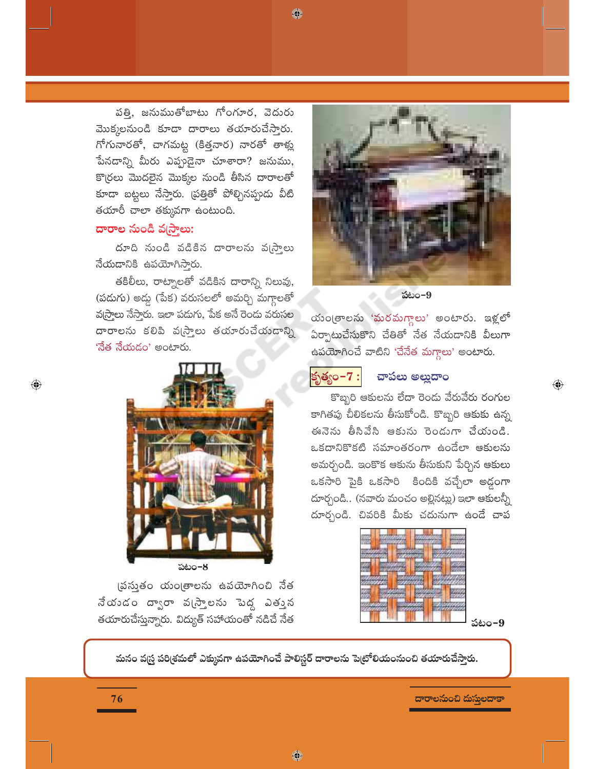◈

పతి, జనుముతోబాటు గోంగూర, వెదురు మొక్కలనుండి కూడా దారాలు తయారుచేస్తారు. గోగునారతో, చాగమట్ట (కిత్తనార) నారతో తాళ్లు పేనడాన్ని మీరు ఎప్పుడైనా చూశారా? జనుము, కొ(రలు మొదలైన మొక్కల నుండి తీసిన దారాలతో కూడా బట్టలు నేస్తారు. (పత్తితో పోల్చినప్పుడు వీటి తయారీ చాలా తక్కువగా ఉంటుంది.

#### దారాల నుండి వ్రస్తాలు:

 $\bigoplus$ 

దూది నుండి వడికిన దారాలను వ్రస్తాలు నేయడానికి ఉపయోగిస్తారు.

తకిలీలు, రాట్నాలతో వడికిన దారాన్ని నిలువు, (పదుగు) అద్దు (పేక) వరుసలలో అమర్చి మగ్గాలతో వ(స్త్రాలు నేస్తారు. ఇలా పడుగు, పేక అనే రెండు వరుసల దారాలను కలిపి వ్రస్తాలు తయారుచేయడాన్ని 'నేత నేయడం' అంటారు.



పటం-8

(పసుతం యం(తాలను ఉపయోగించి నేత నేయండం ద్వారా వ్రస్తాలను పెద్ద ఎత్తున తయారుచేస్తున్నారు. విద్యుత్ సహాయంతో నడిచే నేత

పటం-9

యం(తాలను 'మరమగ్దాలు' అంటారు. ఇళ్లలో ఏర్పాటుచేసుకొని చేతితో నేత నేయదానికి వీలుగా ఉపయోగించే వాటిని 'చేనేత మగ్గాలు' అంటారు.



#### చాపలు అల్హుదాం

కొబ్బరి ఆకులను లేదా రెండు వేరువేరు రంగుల కాగితపు చీలికలను తీసుకోండి. కొబ్బరి ఆకుకు ఉన్న ఈనెను తీసివేసి ఆకును రెండుగా చేయండి. ఒకదానికొకటి సమాంతరంగా ఉండేలా ఆకులను అమర్చండి. ఇంకొక ఆకును తీసుకుని పేర్చిన ఆకులు ఒకసారి పైకి ఒకసారి కిందికి వచ్చేలా అడ్డంగా దూర్చండి.. (నవారు మంచం అల్లినట్లు) ఇలా ఆకులన్నీ దూర్చండి. చివరికి మీకు చదునుగా ఉండే చాప

పటం–9

 $\bigoplus$ 

మనం వ(స్త్ర పరి(శమలో ఎక్కువగా ఉపయోగించే పాలిస్టర్ దారాలను పెట్రోలియంనుంచి తయారుచేస్తారు.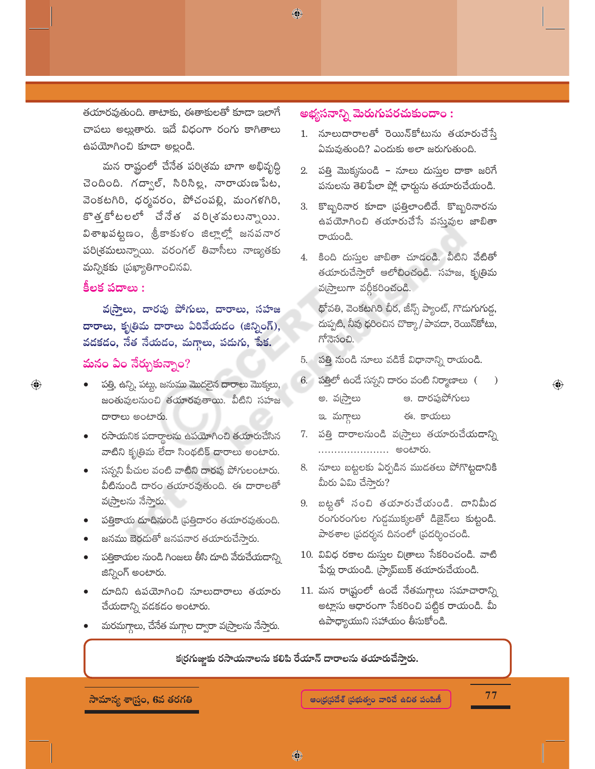తయారవుతుంది. తాటాకు, ఈతాకులతో కూడా ఇలాగే చాపలు అల్లుతారు. ఇదే విధంగా రంగు కాగితాలు ఉపయోగించి కూడా అల్లండి.

మన రాష్టంలో చేనేత పరి(శమ బాగా అభివృద్ధి చెందింది. గద్వాల్, సిరిసిల్ల, నారాయణేపేట, వెంకటగిరి, ధర్మవరం, పోచంపల్లి, మంగళగిరి, కొత్తకోటలలో చేనేత వరి(శమలున్నాయి. విశాఖపట్టణం, శ్రీకాకుళం జిల్లాల్లో జనపనార పరి(శమలున్నాయి. వరంగల్ తివాసీలు నాణ్యతకు మన్నికకు (పఖ్యాతిగాంచినవి.

#### కీలక పదాలు :

 $\bigoplus$ 

వ[సాలు, దారపు పోగులు, దారాలు, సహజ దారాలు, కృతిమ దారాలు ఏరివేయదం (జిన్నింగ్), వదకదం, నేత నేయదం, మగ్గాలు, పదుగు, పేక. మనం ఏం నేర్చుకున్నాం?

- పత్తి, ఉన్ని, పట్టు, జనుము మొదలైన దారాలు మొక్కలు, జంతువులనుంచి తయారవుతాయి. వీటిని సహజ దారాలు అంటారు.
- రసాయనిక పదార్థాలను ఉపయోగించి తయారుచేసిన వాటిని కృత్రిమ లేదా సింథటిక్ దారాలు అంటారు.
- సన్నని పీచుల వంటి వాటిని దారపు పోగులంటారు. వీటినుండి దారం తయారవుతుంది. ఈ దారాలతో వ(స్తాలను నేస్తారు.
- పత్తికాయ దూదినుండి (పత్తిదారం తయారవుతుంది.
- జనము బెరడుతో జనపనార తయారుచేస్తారు.
- పత్తికాయల నుండి గింజలు తీసి దూది వేరుచేయదాన్ని జిన్నింగ్ అంటారు.
- దూదిని ఉపయోగించి నూలుదారాలు తయారు చేయదాన్ని వడకడం అంటారు.
- మరమగ్గాలు, చేనేత మగ్గాల ద్వారా వ(స్తాలను నేస్తారు.

### అభ్యసనాన్ని మెరుగుపరచుకుందాం :

◈

- 1. నూలుదారాలతో రెయిన్కోటును తయారుచేస్తే ఏమవుతుంది? ఎందుకు అలా జరుగుతుంది.
- 2. పత్తి మొక్కనుండి నూలు దుస్తుల దాకా జరిగే పనులను తెలిపేలా ప్లో ఛార్మను తయారుచేయండి.
- 3. కొబ్బరినార కూడా (పత్తిలాంటిదే. కొబ్బరినారను ఉపయోగించి తయారుచేసే వస్తువుల జాబితా రాయండి.
- 4. కింది దుస్తుల జాబితా చూడండి. వీటిని వేటితో తయారుచేస్తారో ఆలోచించండి. సహజ, కృత్రిమ వస్ర్తాలుగా వర్గీకరించండి.

ధోవతి, వెంకటగిరి చీర, జీన్స్ ప్యాంట్, గొదుగుగుడ్డ, దుప్పటి, నీవు ధరించిన చొక్కా/ పావడా, రెయిన్కోటు, గోనెసంచి.

- 5. పత్తి నుండి నూలు వడికే విధానాన్ని రాయండి.
- 6. పత్తిలో ఉండే సన్నని దారం వంటి నిర్మాణాలు (  $\lambda$ 
	- అ. వస్ర్తాలు ఆ. దారపుపోగులు
	- ఈ. కాయలు ఇ. మగ్తాలు
- 7. పత్తి దారాలనుండి వ్రస్తాలు తయారుచేయడాన్ని ...................... అంటారు.
- 8. నూలు బట్టలకు ఏర్పడిన ముడతలు పోగొట్టడానికి మీరు ఏమి చేస్తారు?
- 9. బట్టతో సంచి తయారుచేయండి. దానిమీద రంగురంగుల గుడ్డముక్కలతో డిజైన్లు కుట్టండి. పాఠశాల (పదర్శన దినంలో (పదర్శించండి.
- 10. వివిధ రకాల దుస్తుల చిత్రాలు సేకరించండి. వాటి పేర్లు రాయండి. (స్కాప్ఐుక్ తయారుచేయండి.
- 11. మన రా<mark>డ్</mark>టంలో ఉండే నేతమగ్గాలు సమాచారాన్ని అట్లాసు ఆధారంగా సేకరించి పట్టిక రాయండి. మీ ఉపాధ్యాయుని సహాయం తీసుకోండి.

కర్రగుజ్జుకు రసాయనాలను కలిపి రేయాన్ దారాలను తయారుచేస్తారు.

సామాన్య శాస్త్రం, 6వ తరగతి

77

 $\textcolor{black}{\textcolor{black}{\bigoplus}}$ 

♦